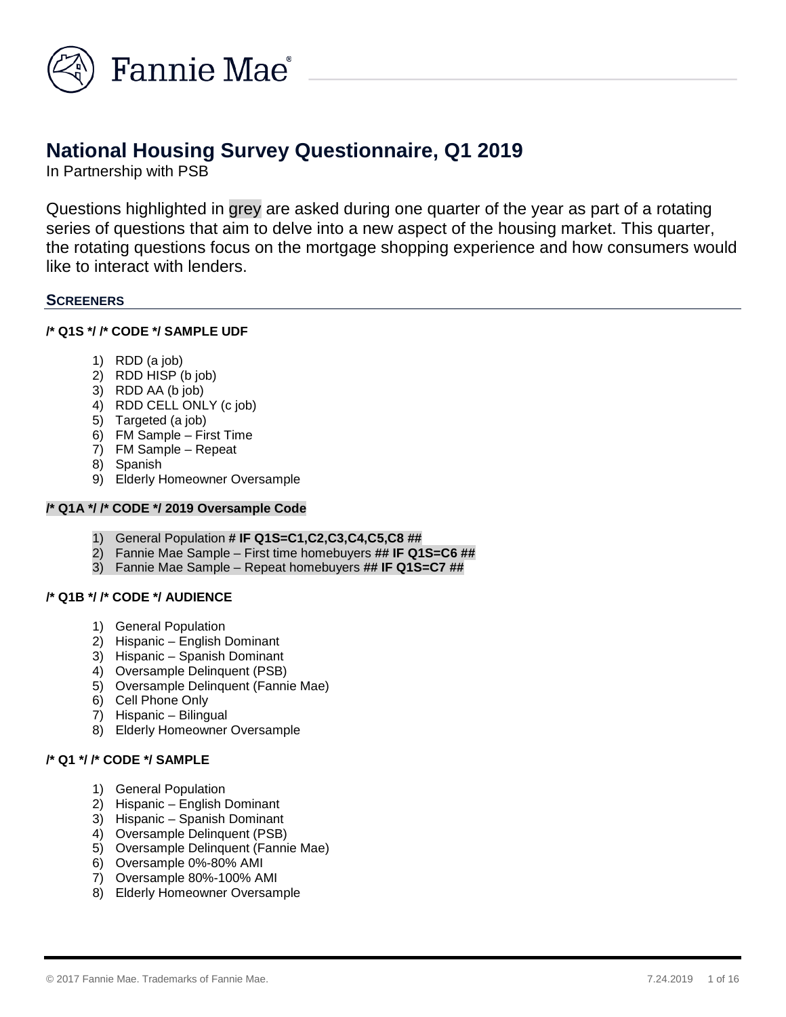

# **National Housing Survey Questionnaire, Q1 2019**

In Partnership with PSB

Questions highlighted in grey are asked during one quarter of the year as part of a rotating series of questions that aim to delve into a new aspect of the housing market. This quarter, the rotating questions focus on the mortgage shopping experience and how consumers would like to interact with lenders.

# **SCREENERS**

# **/\* Q1S \*/ /\* CODE \*/ SAMPLE UDF**

- 1) RDD (a job)
- 2) RDD HISP (b job)
- 3) RDD AA (b job)
- 4) RDD CELL ONLY (c job)
- 5) Targeted (a job)
- 6) FM Sample First Time
- 7) FM Sample Repeat
- 8) Spanish
- 9) Elderly Homeowner Oversample

# **/\* Q1A \*/ /\* CODE \*/ 2019 Oversample Code**

- 1) General Population **# IF Q1S=C1,C2,C3,C4,C5,C8 ##**
- 2) Fannie Mae Sample First time homebuyers **## IF Q1S=C6 ##**
- 3) Fannie Mae Sample Repeat homebuyers **## IF Q1S=C7 ##**

# **/\* Q1B \*/ /\* CODE \*/ AUDIENCE**

- 1) General Population
- 2) Hispanic English Dominant
- 3) Hispanic Spanish Dominant
- 4) Oversample Delinquent (PSB)
- 5) Oversample Delinquent (Fannie Mae)
- 6) Cell Phone Only
- 7) Hispanic Bilingual
- 8) Elderly Homeowner Oversample

# **/\* Q1 \*/ /\* CODE \*/ SAMPLE**

- 1) General Population
- 2) Hispanic English Dominant
- 3) Hispanic Spanish Dominant
- 4) Oversample Delinquent (PSB)
- 5) Oversample Delinquent (Fannie Mae)
- 6) Oversample 0%-80% AMI
- 7) Oversample 80%-100% AMI
- 8) Elderly Homeowner Oversample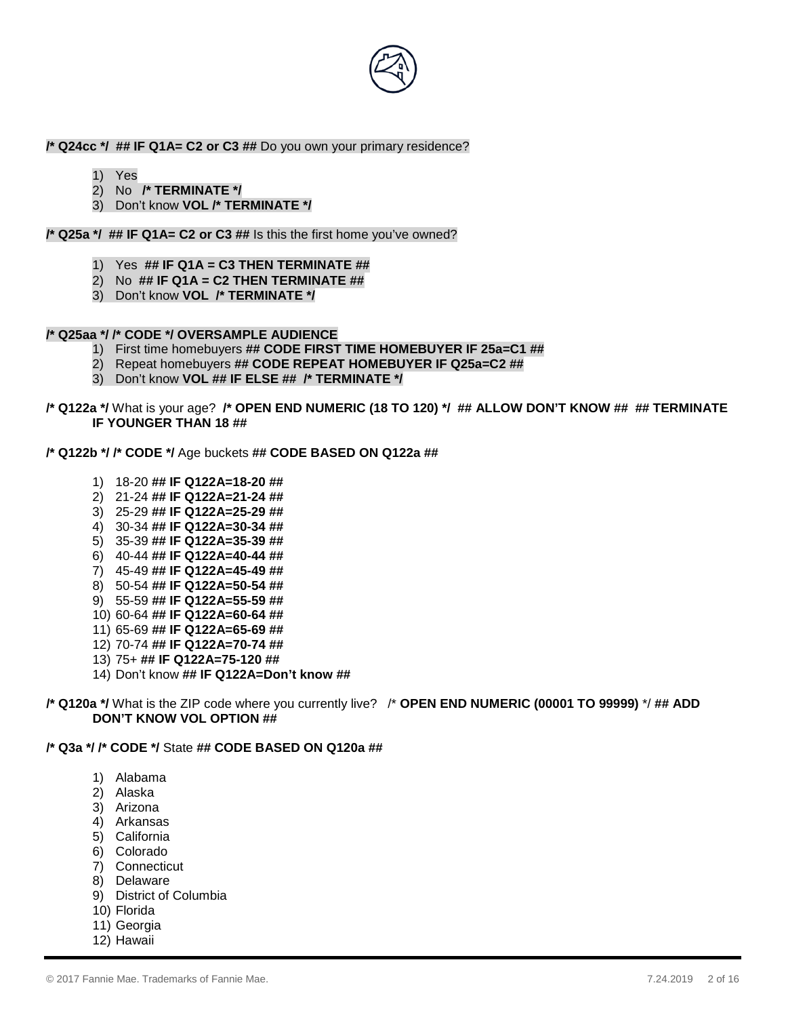

#### **/\* Q24cc \*/ ## IF Q1A= C2 or C3 ##** Do you own your primary residence?

- 1) Yes
- 2) No **/\* TERMINATE \*/**
- 3) Don't know **VOL /\* TERMINATE \*/**

#### **/\* Q25a \*/ ## IF Q1A= C2 or C3 ##** Is this the first home you've owned?

- 1) Yes **## IF Q1A = C3 THEN TERMINATE ##**
- 2) No **## IF Q1A = C2 THEN TERMINATE ##**
- 3) Don't know **VOL /\* TERMINATE \*/**

## **/\* Q25aa \*/ /\* CODE \*/ OVERSAMPLE AUDIENCE**

- 1) First time homebuyers **## CODE FIRST TIME HOMEBUYER IF 25a=C1 ##**
- 2) Repeat homebuyers **## CODE REPEAT HOMEBUYER IF Q25a=C2 ##**
- 3) Don't know **VOL ## IF ELSE ## /\* TERMINATE \*/**

## **/\* Q122a \*/** What is your age? **/\* OPEN END NUMERIC (18 TO 120) \*/ ## ALLOW DON'T KNOW ## ## TERMINATE IF YOUNGER THAN 18 ##**

- **/\* Q122b \*/ /\* CODE \*/** Age buckets **## CODE BASED ON Q122a ##**
	- 1) 18-20 **## IF Q122A=18-20 ##**
	- 2) 21-24 **## IF Q122A=21-24 ##**
	- 3) 25-29 **## IF Q122A=25-29 ##**
	- 4) 30-34 **## IF Q122A=30-34 ##**
	- 5) 35-39 **## IF Q122A=35-39 ##**
	- 6) 40-44 **## IF Q122A=40-44 ##**
	- 7) 45-49 **## IF Q122A=45-49 ##**
	- 8) 50-54 **## IF Q122A=50-54 ##**
	- 9) 55-59 **## IF Q122A=55-59 ##**
	- 10) 60-64 **## IF Q122A=60-64 ##**
	- 11) 65-69 **## IF Q122A=65-69 ##**
	- 12) 70-74 **## IF Q122A=70-74 ##**
	- 13) 75+ **## IF Q122A=75-120 ##**
	- 14) Don't know **## IF Q122A=Don't know ##**
- **/\* Q120a \*/** What is the ZIP code where you currently live? /\* **OPEN END NUMERIC (00001 TO 99999)** \*/ **## ADD DON'T KNOW VOL OPTION ##**

## **/\* Q3a \*/ /\* CODE \*/** State **## CODE BASED ON Q120a ##**

- 1) Alabama
- 2) Alaska
- 3) Arizona
- 4) Arkansas
- 5) California
- 6) Colorado
- 7) Connecticut
- 8) Delaware
- 9) District of Columbia
- 10) Florida
- 11) Georgia
- 12) Hawaii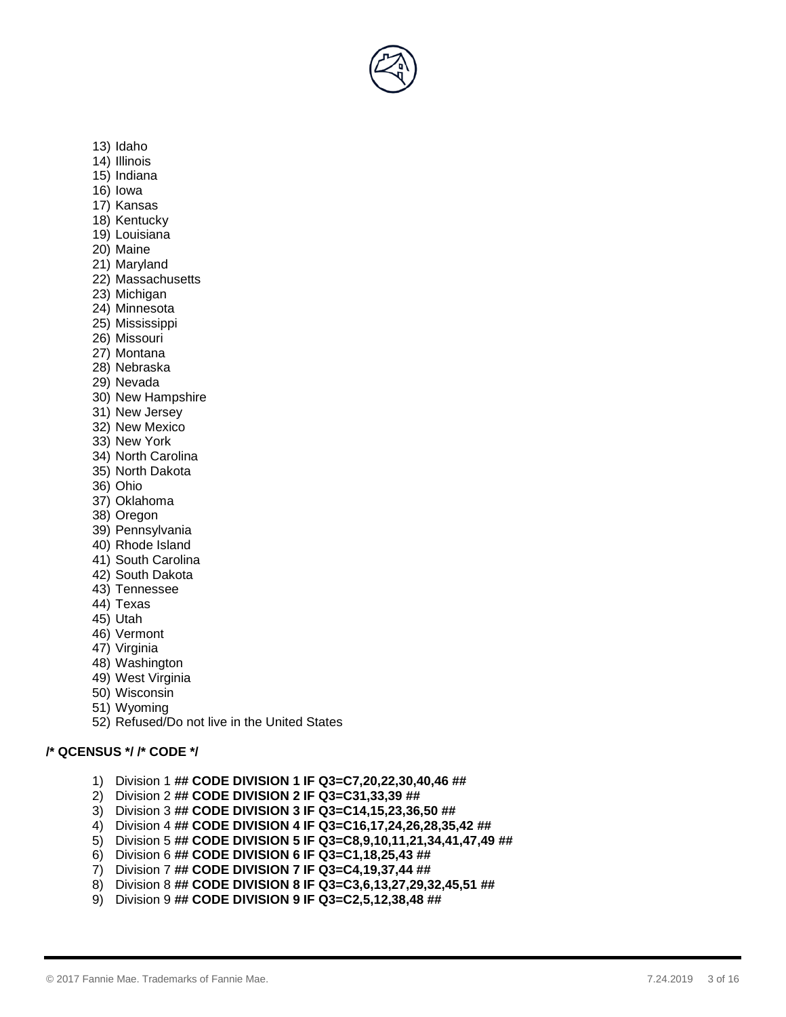- 13) Idaho
- 14) Illinois
- 15) Indiana
- 16) Iowa
- 17) Kansas
- 18) Kentucky
- 19) Louisiana
- 20) Maine
- 21) Maryland
- 22) Massachusetts
- 23) Michigan
- 24) Minnesota
- 25) Mississippi
- 26) Missouri
- 27) Montana
- 28) Nebraska
- 29) Nevada
- 30) New Hampshire
- 31) New Jersey
- 32) New Mexico
- 33) New York
- 34) North Carolina
- 35) North Dakota
- 36) Ohio
- 37) Oklahoma
- 38) Oregon
- 39) Pennsylvania
- 40) Rhode Island
- 41) South Carolina
- 42) South Dakota
- 43) Tennessee
- 44) Texas
- 45) Utah
- 46) Vermont
- 47) Virginia
- 48) Washington
- 49) West Virginia
- 50) Wisconsin
- 
- 51) Wyoming
- 52) Refused/Do not live in the United States

# **/\* QCENSUS \*/ /\* CODE \*/**

- 1) Division 1 **## CODE DIVISION 1 IF Q3=C7,20,22,30,40,46 ##**
- 2) Division 2 **## CODE DIVISION 2 IF Q3=C31,33,39 ##**
- 3) Division 3 **## CODE DIVISION 3 IF Q3=C14,15,23,36,50 ##**
- 4) Division 4 **## CODE DIVISION 4 IF Q3=C16,17,24,26,28,35,42 ##**
- 5) Division 5 **## CODE DIVISION 5 IF Q3=C8,9,10,11,21,34,41,47,49 ##**
- 6) Division 6 **## CODE DIVISION 6 IF Q3=C1,18,25,43 ##**
- 7) Division 7 **## CODE DIVISION 7 IF Q3=C4,19,37,44 ##**
- 8) Division 8 **## CODE DIVISION 8 IF Q3=C3,6,13,27,29,32,45,51 ##**
- 9) Division 9 **## CODE DIVISION 9 IF Q3=C2,5,12,38,48 ##**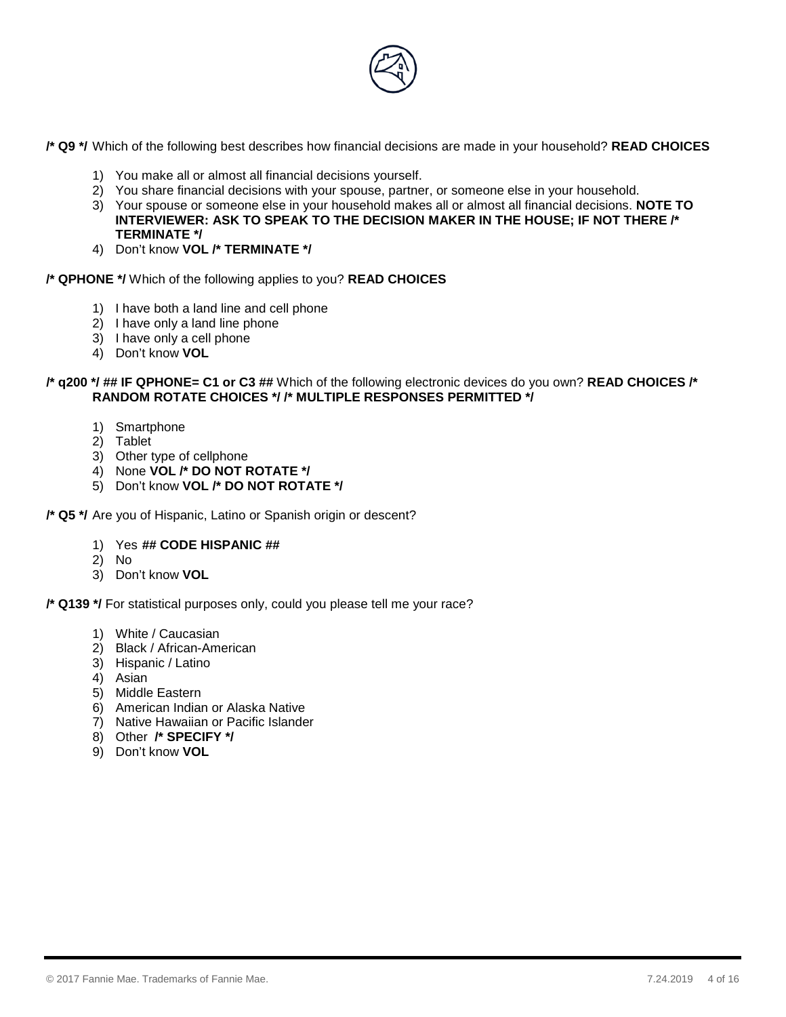

**/\* Q9 \*/** Which of the following best describes how financial decisions are made in your household? **READ CHOICES**

- 1) You make all or almost all financial decisions yourself.
- 2) You share financial decisions with your spouse, partner, or someone else in your household.
- 3) Your spouse or someone else in your household makes all or almost all financial decisions. **NOTE TO INTERVIEWER: ASK TO SPEAK TO THE DECISION MAKER IN THE HOUSE; IF NOT THERE /\* TERMINATE \*/**
- 4) Don't know **VOL /\* TERMINATE \*/**

#### **/\* QPHONE \*/** Which of the following applies to you? **READ CHOICES**

- 1) I have both a land line and cell phone
- 2) I have only a land line phone
- 3) I have only a cell phone
- 4) Don't know **VOL**

#### **/\* q200 \*/ ## IF QPHONE= C1 or C3 ##** Which of the following electronic devices do you own? **READ CHOICES /\* RANDOM ROTATE CHOICES \*/ /\* MULTIPLE RESPONSES PERMITTED \*/**

- 1) Smartphone
- 2) Tablet
- 3) Other type of cellphone
- 4) None **VOL /\* DO NOT ROTATE \*/**
- 5) Don't know **VOL /\* DO NOT ROTATE \*/**

**/\* Q5 \*/** Are you of Hispanic, Latino or Spanish origin or descent?

- 1) Yes **## CODE HISPANIC ##**
- 2) No
- 3) Don't know **VOL**

**/\* Q139 \*/** For statistical purposes only, could you please tell me your race?

- 1) White / Caucasian
- 2) Black / African-American
- 3) Hispanic / Latino
- 4) Asian
- 5) Middle Eastern
- 6) American Indian or Alaska Native
- 7) Native Hawaiian or Pacific Islander
- 8) Other **/\* SPECIFY \*/**
- 9) Don't know **VOL**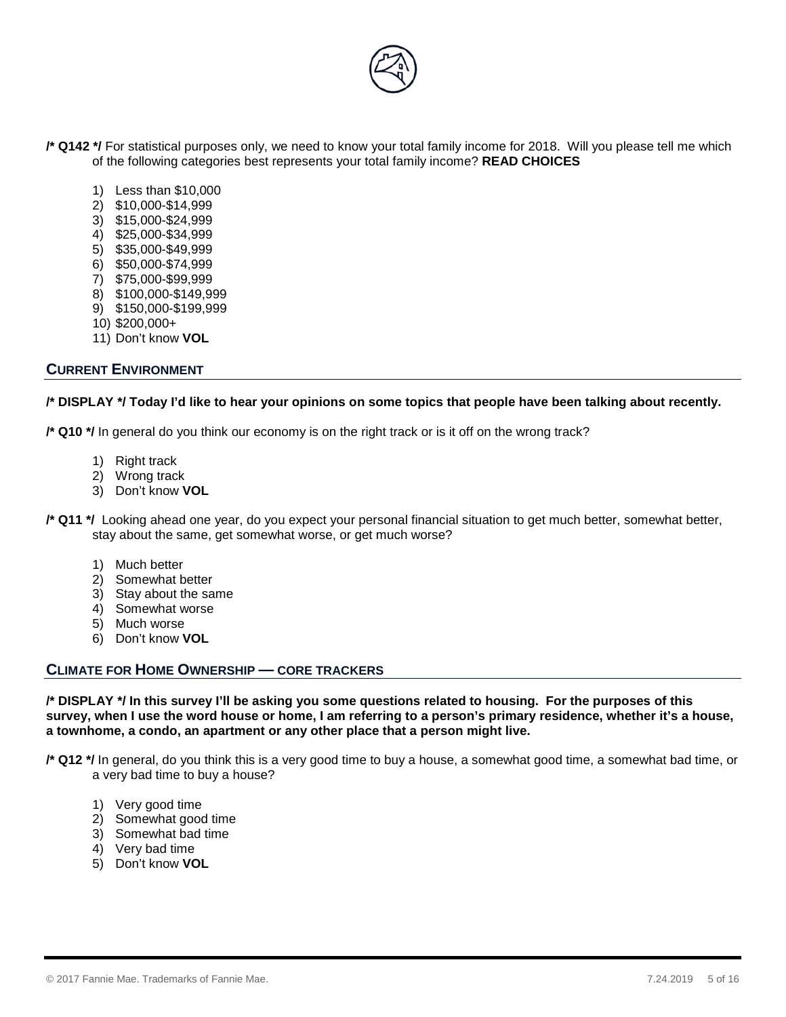

**/\* Q142 \*/** For statistical purposes only, we need to know your total family income for 2018. Will you please tell me which of the following categories best represents your total family income? **READ CHOICES**

- 1) Less than \$10,000
- 2) \$10,000-\$14,999
- 3) \$15,000-\$24,999
- 4) \$25,000-\$34,999
- 5) \$35,000-\$49,999
- 6) \$50,000-\$74,999
- 7) \$75,000-\$99,999
- 8) \$100,000-\$149,999
- 9) \$150,000-\$199,999
- 10) \$200,000+
- 11) Don't know **VOL**

# **CURRENT ENVIRONMENT**

## **/\* DISPLAY \*/ Today I'd like to hear your opinions on some topics that people have been talking about recently.**

**/\* Q10 \*/** In general do you think our economy is on the right track or is it off on the wrong track?

- 1) Right track
- 2) Wrong track
- 3) Don't know **VOL**

**/\* Q11 \*/** Looking ahead one year, do you expect your personal financial situation to get much better, somewhat better, stay about the same, get somewhat worse, or get much worse?

- 1) Much better
- 2) Somewhat better
- 3) Stay about the same
- 4) Somewhat worse
- 5) Much worse
- 6) Don't know **VOL**

# **CLIMATE FOR HOME OWNERSHIP — CORE TRACKERS**

**/\* DISPLAY \*/ In this survey I'll be asking you some questions related to housing. For the purposes of this survey, when I use the word house or home, I am referring to a person's primary residence, whether it's a house, a townhome, a condo, an apartment or any other place that a person might live.**

- **/\* Q12 \*/** In general, do you think this is a very good time to buy a house, a somewhat good time, a somewhat bad time, or a very bad time to buy a house?
	- 1) Very good time
	- 2) Somewhat good time
	- 3) Somewhat bad time
	- 4) Very bad time
	- 5) Don't know **VOL**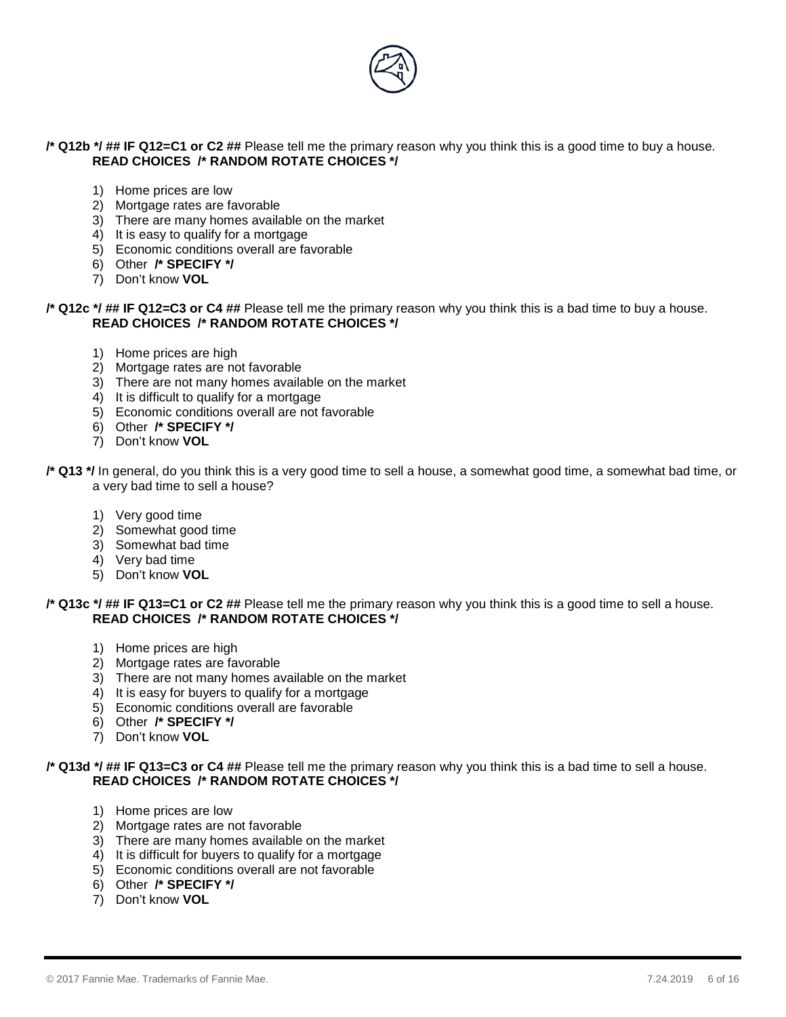

# **/\* Q12b \*/ ## IF Q12=C1 or C2 ##** Please tell me the primary reason why you think this is a good time to buy a house. **READ CHOICES /\* RANDOM ROTATE CHOICES \*/**

- 1) Home prices are low
- 2) Mortgage rates are favorable
- 3) There are many homes available on the market
- 4) It is easy to qualify for a mortgage
- 5) Economic conditions overall are favorable
- 6) Other **/\* SPECIFY \*/**
- 7) Don't know **VOL**

## **/\* Q12c \*/ ## IF Q12=C3 or C4 ##** Please tell me the primary reason why you think this is a bad time to buy a house. **READ CHOICES /\* RANDOM ROTATE CHOICES \*/**

- 1) Home prices are high
- 2) Mortgage rates are not favorable
- 3) There are not many homes available on the market
- 4) It is difficult to qualify for a mortgage
- 5) Economic conditions overall are not favorable
- 6) Other **/\* SPECIFY \*/**
- 7) Don't know **VOL**

- 1) Very good time
- 2) Somewhat good time
- 3) Somewhat bad time
- 4) Very bad time
- 5) Don't know **VOL**

## **/\* Q13c \*/ ## IF Q13=C1 or C2 ##** Please tell me the primary reason why you think this is a good time to sell a house. **READ CHOICES /\* RANDOM ROTATE CHOICES \*/**

- 1) Home prices are high
- 2) Mortgage rates are favorable
- 3) There are not many homes available on the market
- 4) It is easy for buyers to qualify for a mortgage
- 5) Economic conditions overall are favorable
- 6) Other **/\* SPECIFY \*/**
- 7) Don't know **VOL**

## **/\* Q13d \*/ ## IF Q13=C3 or C4 ##** Please tell me the primary reason why you think this is a bad time to sell a house. **READ CHOICES /\* RANDOM ROTATE CHOICES \*/**

- 1) Home prices are low
- 2) Mortgage rates are not favorable
- 3) There are many homes available on the market
- 4) It is difficult for buyers to qualify for a mortgage
- 5) Economic conditions overall are not favorable
- 6) Other **/\* SPECIFY \*/**
- 7) Don't know **VOL**

**<sup>/\*</sup> Q13 \*/** In general, do you think this is a very good time to sell a house, a somewhat good time, a somewhat bad time, or a very bad time to sell a house?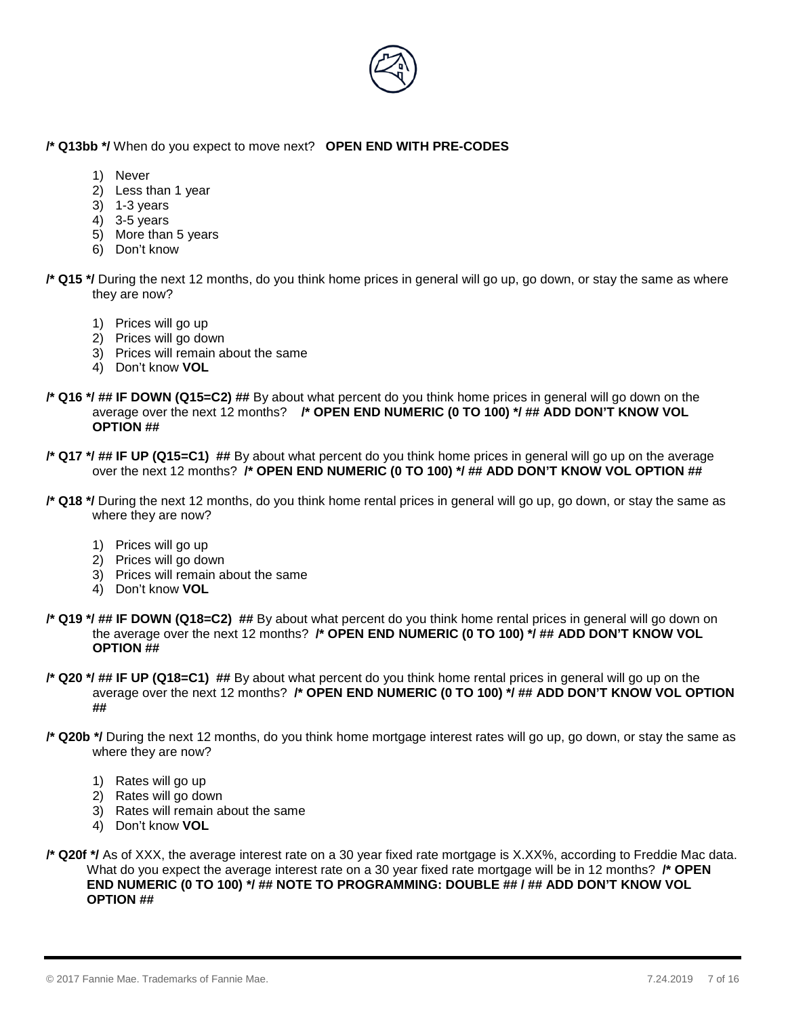

# **/\* Q13bb \*/** When do you expect to move next? **OPEN END WITH PRE-CODES**

- 1) Never
- 2) Less than 1 year
- 3) 1-3 years
- 4) 3-5 years
- 5) More than 5 years
- 6) Don't know

**/\* Q15 \*/** During the next 12 months, do you think home prices in general will go up, go down, or stay the same as where they are now?

- 1) Prices will go up
- 2) Prices will go down
- 3) Prices will remain about the same
- 4) Don't know **VOL**
- **/\* Q16 \*/ ## IF DOWN (Q15=C2) ##** By about what percent do you think home prices in general will go down on the average over the next 12 months? **/\* OPEN END NUMERIC (0 TO 100) \*/ ## ADD DON'T KNOW VOL OPTION ##**
- **/\* Q17 \*/ ## IF UP (Q15=C1) ##** By about what percent do you think home prices in general will go up on the average over the next 12 months? **/\* OPEN END NUMERIC (0 TO 100) \*/ ## ADD DON'T KNOW VOL OPTION ##**
- **/\* Q18 \*/** During the next 12 months, do you think home rental prices in general will go up, go down, or stay the same as where they are now?
	- 1) Prices will go up
	- 2) Prices will go down
	- 3) Prices will remain about the same
	- 4) Don't know **VOL**
- **/\* Q19 \*/ ## IF DOWN (Q18=C2) ##** By about what percent do you think home rental prices in general will go down on the average over the next 12 months? **/\* OPEN END NUMERIC (0 TO 100) \*/ ## ADD DON'T KNOW VOL OPTION ##**
- **/\* Q20 \*/ ## IF UP (Q18=C1) ##** By about what percent do you think home rental prices in general will go up on the average over the next 12 months? **/\* OPEN END NUMERIC (0 TO 100) \*/ ## ADD DON'T KNOW VOL OPTION ##**
- **/\* Q20b \*/** During the next 12 months, do you think home mortgage interest rates will go up, go down, or stay the same as where they are now?
	- 1) Rates will go up
	- 2) Rates will go down
	- 3) Rates will remain about the same
	- 4) Don't know **VOL**
- **/\* Q20f \*/** As of XXX, the average interest rate on a 30 year fixed rate mortgage is X.XX%, according to Freddie Mac data. What do you expect the average interest rate on a 30 year fixed rate mortgage will be in 12 months? **/\* OPEN END NUMERIC (0 TO 100) \*/ ## NOTE TO PROGRAMMING: DOUBLE ## / ## ADD DON'T KNOW VOL OPTION ##**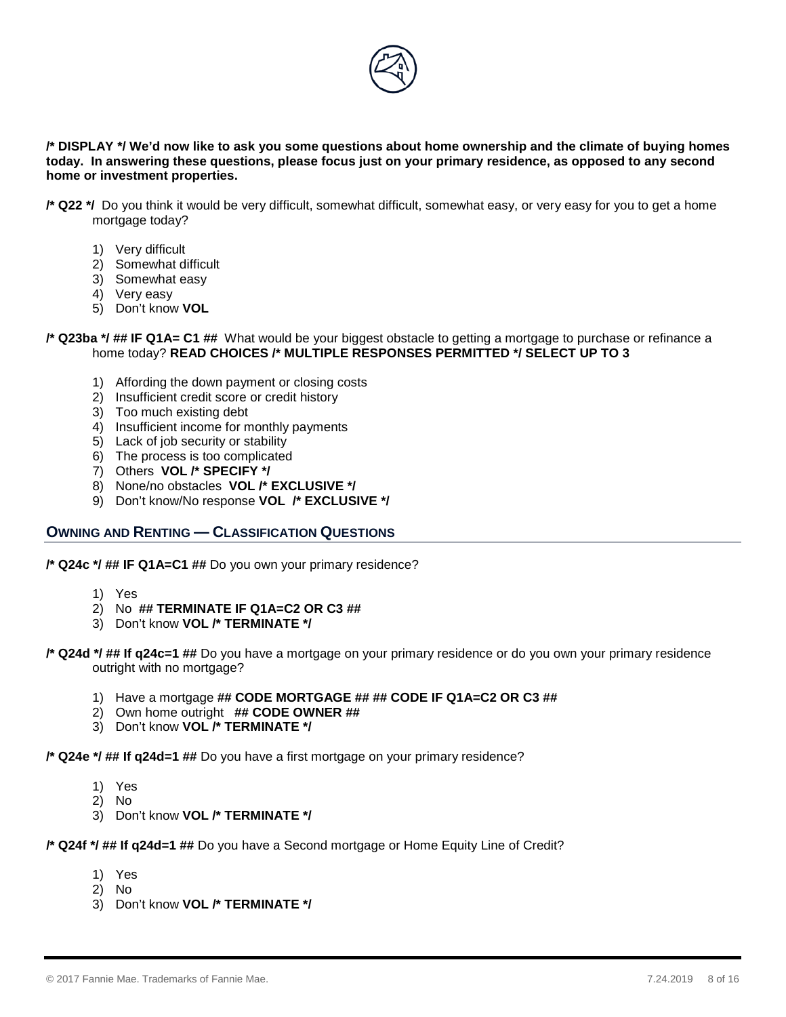

**/\* DISPLAY \*/ We'd now like to ask you some questions about home ownership and the climate of buying homes today. In answering these questions, please focus just on your primary residence, as opposed to any second home or investment properties.** 

- **/\* Q22 \*/** Do you think it would be very difficult, somewhat difficult, somewhat easy, or very easy for you to get a home mortgage today?
	- 1) Very difficult
	- 2) Somewhat difficult
	- 3) Somewhat easy
	- 4) Very easy
	- 5) Don't know **VOL**

#### **/\* Q23ba \*/ ## IF Q1A= C1 ##** What would be your biggest obstacle to getting a mortgage to purchase or refinance a home today? **READ CHOICES /\* MULTIPLE RESPONSES PERMITTED \*/ SELECT UP TO 3**

- 1) Affording the down payment or closing costs
- 2) Insufficient credit score or credit history
- 3) Too much existing debt
- 4) Insufficient income for monthly payments
- 5) Lack of job security or stability
- 6) The process is too complicated
- 7) Others **VOL /\* SPECIFY \*/**
- 8) None/no obstacles **VOL /\* EXCLUSIVE \*/**
- 9) Don't know/No response **VOL /\* EXCLUSIVE \*/**

## **OWNING AND RENTING — CLASSIFICATION QUESTIONS**

**/\* Q24c \*/ ## IF Q1A=C1 ##** Do you own your primary residence?

- 1) Yes
- 2) No **## TERMINATE IF Q1A=C2 OR C3 ##**
- 3) Don't know **VOL /\* TERMINATE \*/**

**/\* Q24d \*/ ## If q24c=1 ##** Do you have a mortgage on your primary residence or do you own your primary residence outright with no mortgage?

- 1) Have a mortgage **## CODE MORTGAGE ## ## CODE IF Q1A=C2 OR C3 ##**
- 2) Own home outright **## CODE OWNER ##**
- 3) Don't know **VOL /\* TERMINATE \*/**

**/\* Q24e \*/ ## If q24d=1 ##** Do you have a first mortgage on your primary residence?

- 1) Yes
- 2) No
- 3) Don't know **VOL /\* TERMINATE \*/**

**/\* Q24f \*/ ## If q24d=1 ##** Do you have a Second mortgage or Home Equity Line of Credit?

- 1) Yes
- 2) No
- 3) Don't know **VOL /\* TERMINATE \*/**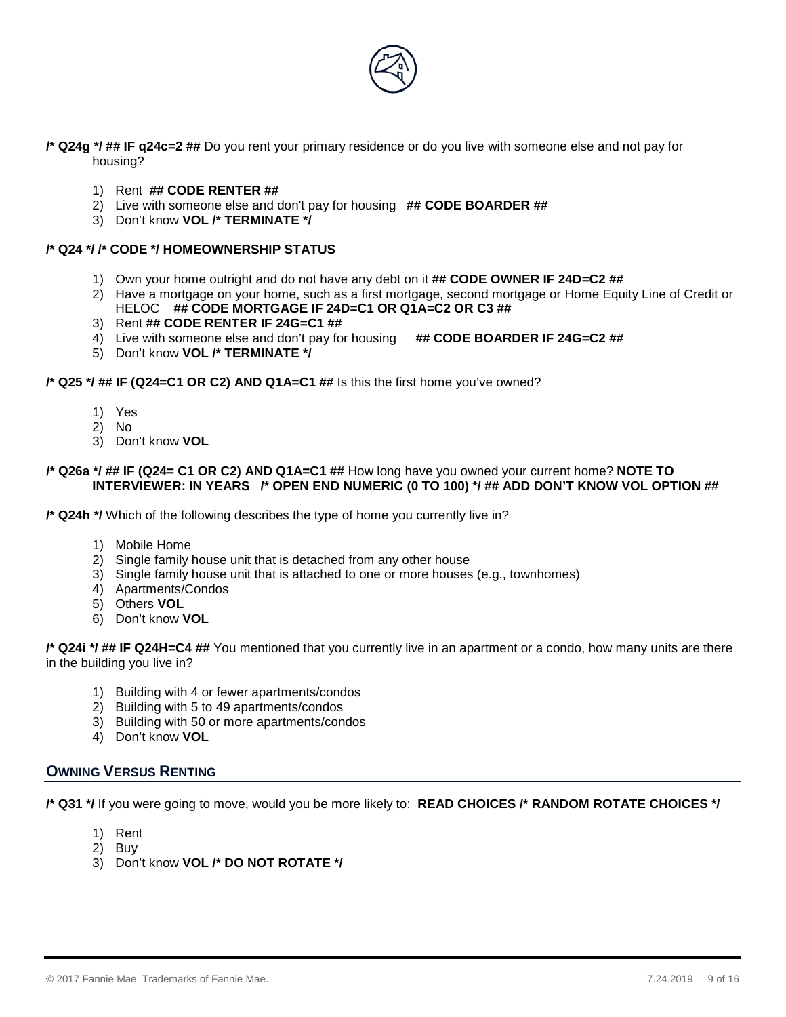

**/\* Q24g \*/ ## IF q24c=2 ##** Do you rent your primary residence or do you live with someone else and not pay for housing?

- 1) Rent **## CODE RENTER ##**
- 2) Live with someone else and don't pay for housing **## CODE BOARDER ##**
- 3) Don't know **VOL /\* TERMINATE \*/**

# **/\* Q24 \*/ /\* CODE \*/ HOMEOWNERSHIP STATUS**

- 1) Own your home outright and do not have any debt on it **## CODE OWNER IF 24D=C2 ##**
- 2) Have a mortgage on your home, such as a first mortgage, second mortgage or Home Equity Line of Credit or HELOC **## CODE MORTGAGE IF 24D=C1 OR Q1A=C2 OR C3 ##**
- 3) Rent **## CODE RENTER IF 24G=C1 ##**
- 4) Live with someone else and don't pay for housing ## CODE BOARDER IF 24G=C2 ##
- 5) Don't know **VOL /\* TERMINATE \*/**

**/\* Q25 \*/ ## IF (Q24=C1 OR C2) AND Q1A=C1 ##** Is this the first home you've owned?

- 1) Yes
- 2) No
- 3) Don't know **VOL**

#### **/\* Q26a \*/ ## IF (Q24= C1 OR C2) AND Q1A=C1 ##** How long have you owned your current home? **NOTE TO INTERVIEWER: IN YEARS /\* OPEN END NUMERIC (0 TO 100) \*/ ## ADD DON'T KNOW VOL OPTION ##**

**/\* Q24h \*/** Which of the following describes the type of home you currently live in?

- 1) Mobile Home
- 2) Single family house unit that is detached from any other house
- 3) Single family house unit that is attached to one or more houses (e.g., townhomes)
- 4) Apartments/Condos
- 5) Others **VOL**
- 6) Don't know **VOL**

**/\* Q24i \*/ ## IF Q24H=C4 ##** You mentioned that you currently live in an apartment or a condo, how many units are there in the building you live in?

- 1) Building with 4 or fewer apartments/condos
- 2) Building with 5 to 49 apartments/condos
- 3) Building with 50 or more apartments/condos
- 4) Don't know **VOL**

# **OWNING VERSUS RENTING**

**/\* Q31 \*/** If you were going to move, would you be more likely to: **READ CHOICES /\* RANDOM ROTATE CHOICES \*/**

- 1) Rent
- 2) Buy
- 3) Don't know **VOL /\* DO NOT ROTATE \*/**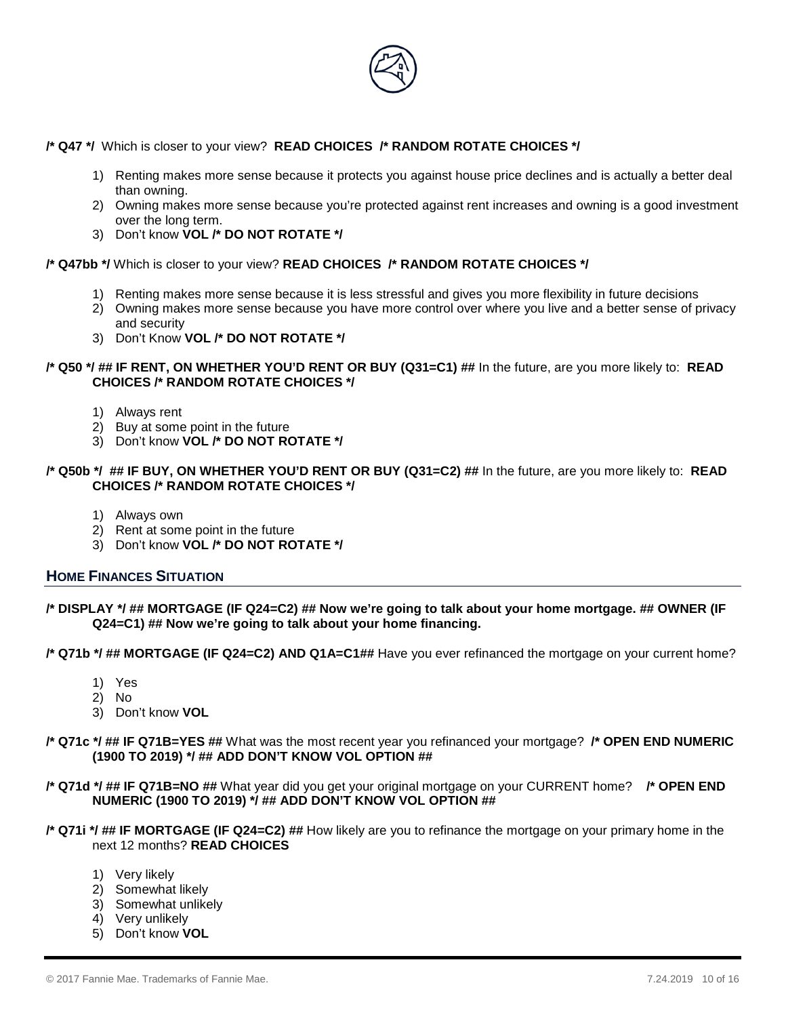

**/\* Q47 \*/** Which is closer to your view? **READ CHOICES /\* RANDOM ROTATE CHOICES \*/**

- 1) Renting makes more sense because it protects you against house price declines and is actually a better deal than owning.
- 2) Owning makes more sense because you're protected against rent increases and owning is a good investment over the long term.
- 3) Don't know **VOL /\* DO NOT ROTATE \*/**

**/\* Q47bb \*/** Which is closer to your view? **READ CHOICES /\* RANDOM ROTATE CHOICES \*/**

- 1) Renting makes more sense because it is less stressful and gives you more flexibility in future decisions
- 2) Owning makes more sense because you have more control over where you live and a better sense of privacy and security
- 3) Don't Know **VOL /\* DO NOT ROTATE \*/**

## **/\* Q50 \*/ ## IF RENT, ON WHETHER YOU'D RENT OR BUY (Q31=C1) ##** In the future, are you more likely to: **READ CHOICES /\* RANDOM ROTATE CHOICES \*/**

- 1) Always rent
- 2) Buy at some point in the future
- 3) Don't know **VOL /\* DO NOT ROTATE \*/**

#### **/\* Q50b \*/ ## IF BUY, ON WHETHER YOU'D RENT OR BUY (Q31=C2) ##** In the future, are you more likely to: **READ CHOICES /\* RANDOM ROTATE CHOICES \*/**

- 1) Always own
- 2) Rent at some point in the future
- 3) Don't know **VOL /\* DO NOT ROTATE \*/**

## **HOME FINANCES SITUATION**

**/\* DISPLAY \*/ ## MORTGAGE (IF Q24=C2) ## Now we're going to talk about your home mortgage. ## OWNER (IF Q24=C1) ## Now we're going to talk about your home financing.**

**/\* Q71b \*/ ## MORTGAGE (IF Q24=C2) AND Q1A=C1##** Have you ever refinanced the mortgage on your current home?

- 1) Yes
- 2) No
- 3) Don't know **VOL**
- **/\* Q71c \*/ ## IF Q71B=YES ##** What was the most recent year you refinanced your mortgage? **/\* OPEN END NUMERIC (1900 TO 2019) \*/ ## ADD DON'T KNOW VOL OPTION ##**
- **/\* Q71d \*/ ## IF Q71B=NO ##** What year did you get your original mortgage on your CURRENT home? **/\* OPEN END NUMERIC (1900 TO 2019) \*/ ## ADD DON'T KNOW VOL OPTION ##**
- **/\* Q71i \*/ ## IF MORTGAGE (IF Q24=C2) ##** How likely are you to refinance the mortgage on your primary home in the next 12 months? **READ CHOICES**
	- 1) Very likely
	- 2) Somewhat likely
	- 3) Somewhat unlikely
	- 4) Very unlikely
	- 5) Don't know **VOL**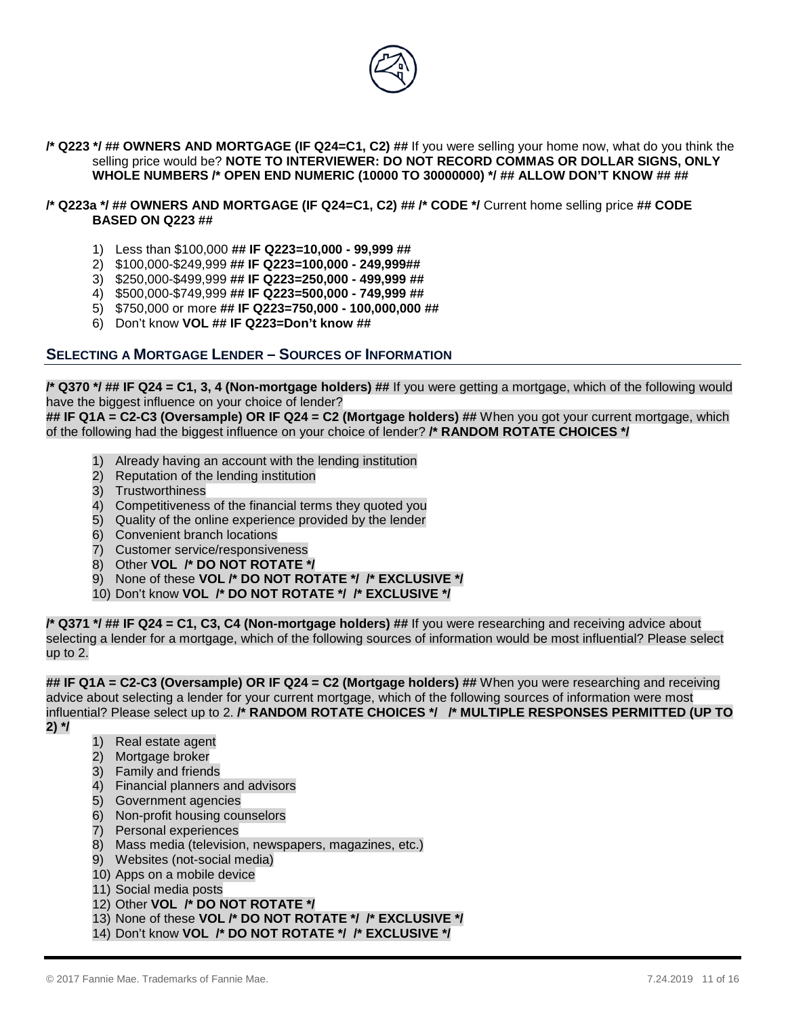

**/\* Q223 \*/ ## OWNERS AND MORTGAGE (IF Q24=C1, C2) ##** If you were selling your home now, what do you think the selling price would be? **NOTE TO INTERVIEWER: DO NOT RECORD COMMAS OR DOLLAR SIGNS, ONLY WHOLE NUMBERS /\* OPEN END NUMERIC (10000 TO 30000000) \*/ ## ALLOW DON'T KNOW ## ##**

## **/\* Q223a \*/ ## OWNERS AND MORTGAGE (IF Q24=C1, C2) ## /\* CODE \*/** Current home selling price **## CODE BASED ON Q223 ##**

- 1) Less than \$100,000 **## IF Q223=10,000 - 99,999 ##**
- 2) \$100,000-\$249,999 **## IF Q223=100,000 - 249,999##**
- 3) \$250,000-\$499,999 **## IF Q223=250,000 - 499,999 ##**
- 4) \$500,000-\$749,999 **## IF Q223=500,000 - 749,999 ##**
- 5) \$750,000 or more **## IF Q223=750,000 - 100,000,000 ##**
- 6) Don't know **VOL ## IF Q223=Don't know ##**

# **SELECTING A MORTGAGE LENDER – SOURCES OF INFORMATION**

**/\* Q370 \*/ ## IF Q24 = C1, 3, 4 (Non-mortgage holders) ##** If you were getting a mortgage, which of the following would have the biggest influence on your choice of lender?

**## IF Q1A = C2-C3 (Oversample) OR IF Q24 = C2 (Mortgage holders) ##** When you got your current mortgage, which of the following had the biggest influence on your choice of lender? **/\* RANDOM ROTATE CHOICES \*/** 

- 1) Already having an account with the lending institution
- 2) Reputation of the lending institution
- 3) Trustworthiness
- 4) Competitiveness of the financial terms they quoted you
- 5) Quality of the online experience provided by the lender
- 6) Convenient branch locations
- 7) Customer service/responsiveness
- 8) Other **VOL /\* DO NOT ROTATE \*/**
- 9) None of these **VOL /\* DO NOT ROTATE \*/ /\* EXCLUSIVE \*/**
- 10) Don't know **VOL /\* DO NOT ROTATE \*/ /\* EXCLUSIVE \*/**

**/\* Q371 \*/ ## IF Q24 = C1, C3, C4 (Non-mortgage holders) ##** If you were researching and receiving advice about selecting a lender for a mortgage, which of the following sources of information would be most influential? Please select up to 2.

**## IF Q1A = C2-C3 (Oversample) OR IF Q24 = C2 (Mortgage holders) ##** When you were researching and receiving advice about selecting a lender for your current mortgage, which of the following sources of information were most influential? Please select up to 2. **/\* RANDOM ROTATE CHOICES \*/ /\* MULTIPLE RESPONSES PERMITTED (UP TO** 

- **2) \*/**
- 1) Real estate agent
- 2) Mortgage broker
- 3) Family and friends
- 4) Financial planners and advisors
- 5) Government agencies
- 6) Non-profit housing counselors
- 7) Personal experiences
- 8) Mass media (television, newspapers, magazines, etc.)
- 9) Websites (not-social media)
- 10) Apps on a mobile device
- 11) Social media posts
- 12) Other **VOL /\* DO NOT ROTATE \*/**
- 13) None of these **VOL /\* DO NOT ROTATE \*/ /\* EXCLUSIVE \*/**
- 14) Don't know **VOL /\* DO NOT ROTATE \*/ /\* EXCLUSIVE \*/**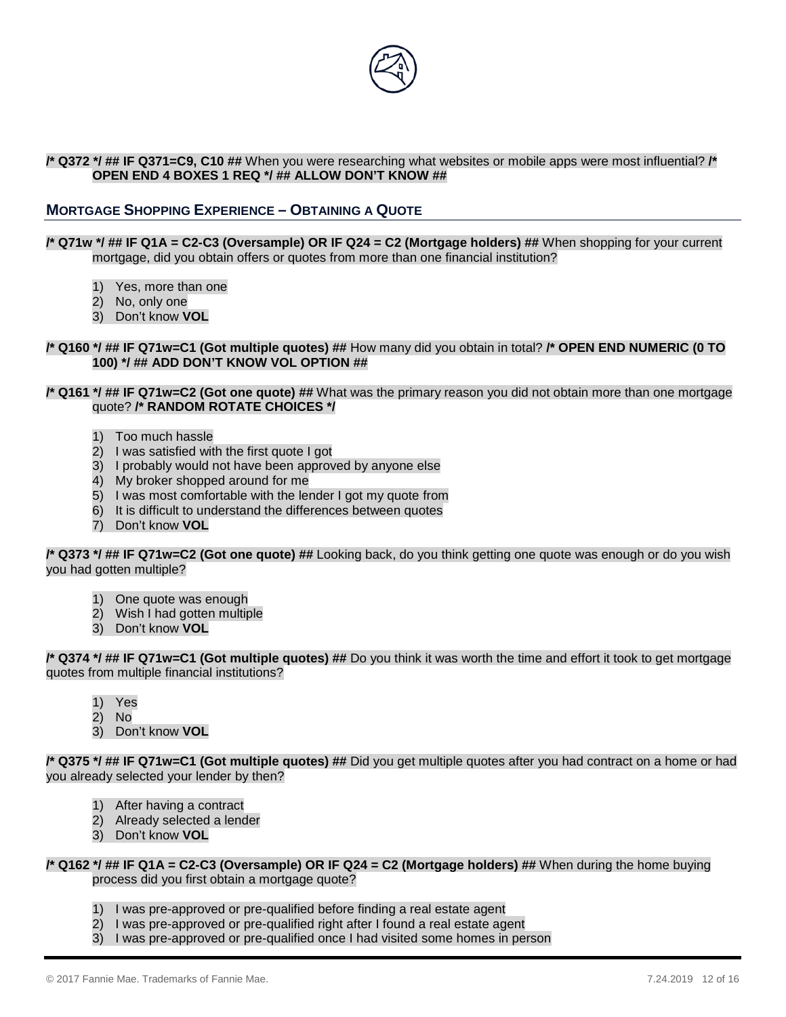

## **/\* Q372 \*/ ## IF Q371=C9, C10 ##** When you were researching what websites or mobile apps were most influential? **/\* OPEN END 4 BOXES 1 REQ \*/ ## ALLOW DON'T KNOW ##**

# **MORTGAGE SHOPPING EXPERIENCE – OBTAINING A QUOTE**

#### **/\* Q71w \*/ ## IF Q1A = C2-C3 (Oversample) OR IF Q24 = C2 (Mortgage holders) ##** When shopping for your current mortgage, did you obtain offers or quotes from more than one financial institution?

- 1) Yes, more than one
- 2) No, only one
- 3) Don't know **VOL**

#### **/\* Q160 \*/ ## IF Q71w=C1 (Got multiple quotes) ##** How many did you obtain in total? **/\* OPEN END NUMERIC (0 TO 100) \*/ ## ADD DON'T KNOW VOL OPTION ##**

#### **/\* Q161 \*/ ## IF Q71w=C2 (Got one quote) ##** What was the primary reason you did not obtain more than one mortgage quote? **/\* RANDOM ROTATE CHOICES \*/**

- 1) Too much hassle
- 2) I was satisfied with the first quote I got
- 3) I probably would not have been approved by anyone else
- 4) My broker shopped around for me
- 5) I was most comfortable with the lender I got my quote from
- 6) It is difficult to understand the differences between quotes
- 7) Don't know **VOL**

#### **/\* Q373 \*/ ## IF Q71w=C2 (Got one quote) ##** Looking back, do you think getting one quote was enough or do you wish you had gotten multiple?

- 1) One quote was enough
- 2) Wish I had gotten multiple
- 3) Don't know **VOL**

#### **/\* Q374 \*/ ## IF Q71w=C1 (Got multiple quotes) ##** Do you think it was worth the time and effort it took to get mortgage quotes from multiple financial institutions?

- 1) Yes
- 2) No
- 3) Don't know **VOL**

**/\* Q375 \*/ ## IF Q71w=C1 (Got multiple quotes) ##** Did you get multiple quotes after you had contract on a home or had you already selected your lender by then?

- 1) After having a contract
- 2) Already selected a lender
- 3) Don't know **VOL**

**/\* Q162 \*/ ## IF Q1A = C2-C3 (Oversample) OR IF Q24 = C2 (Mortgage holders) ##** When during the home buying process did you first obtain a mortgage quote?

- 1) I was pre-approved or pre-qualified before finding a real estate agent
- 2) I was pre-approved or pre-qualified right after I found a real estate agent
- 3) I was pre-approved or pre-qualified once I had visited some homes in person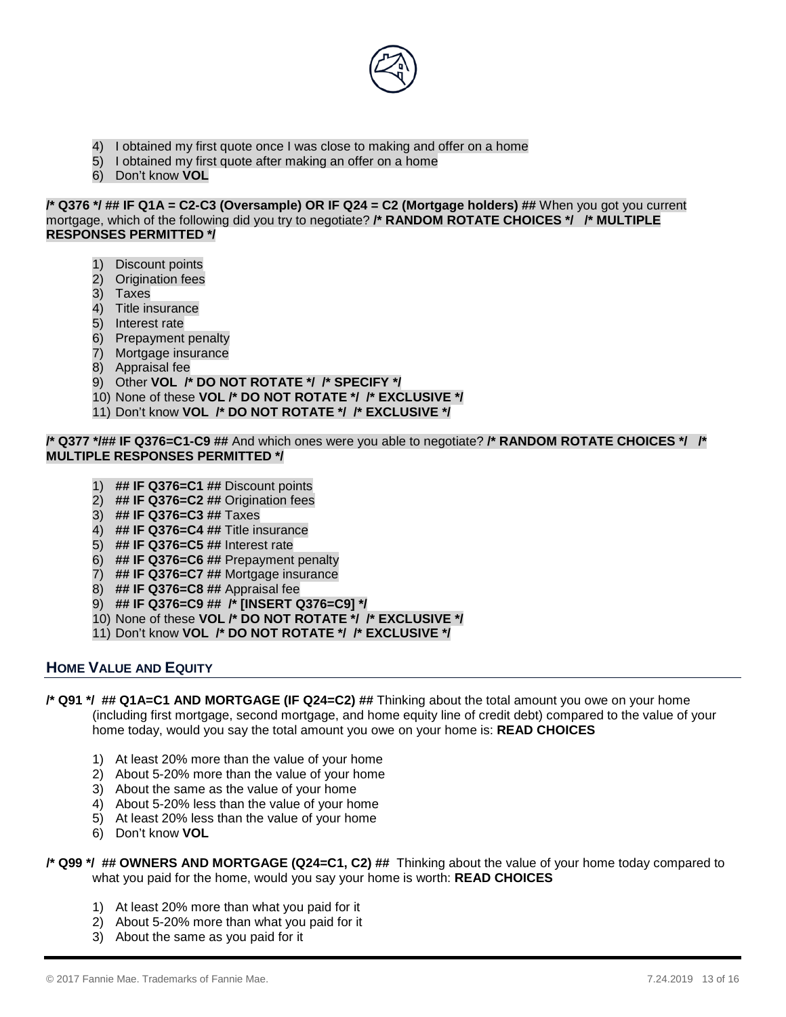

- 4) I obtained my first quote once I was close to making and offer on a home
- 5) I obtained my first quote after making an offer on a home
- 6) Don't know **VOL**

**/\* Q376 \*/ ## IF Q1A = C2-C3 (Oversample) OR IF Q24 = C2 (Mortgage holders) ##** When you got you current mortgage, which of the following did you try to negotiate? **/\* RANDOM ROTATE CHOICES \*/ /\* MULTIPLE RESPONSES PERMITTED \*/** 

- 1) Discount points
- 2) Origination fees
- 3) Taxes
- 4) Title insurance
- 5) Interest rate
- 6) Prepayment penalty
- 7) Mortgage insurance
- 8) Appraisal fee
- 9) Other **VOL /\* DO NOT ROTATE \*/ /\* SPECIFY \*/**
- 10) None of these **VOL /\* DO NOT ROTATE \*/ /\* EXCLUSIVE \*/**
- 11) Don't know **VOL /\* DO NOT ROTATE \*/ /\* EXCLUSIVE \*/**

#### **/\* Q377 \*/## IF Q376=C1-C9 ##** And which ones were you able to negotiate? **/\* RANDOM ROTATE CHOICES \*/ /\* MULTIPLE RESPONSES PERMITTED \*/**

- 1) **## IF Q376=C1 ##** Discount points
- 2) **## IF Q376=C2 ##** Origination fees
- 3) **## IF Q376=C3 ##** Taxes
- 4) **## IF Q376=C4 ##** Title insurance
- 5) **## IF Q376=C5 ##** Interest rate
- 6) **## IF Q376=C6 ##** Prepayment penalty
- 7) **## IF Q376=C7 ##** Mortgage insurance
- 8) **## IF Q376=C8 ##** Appraisal fee
- 9) **## IF Q376=C9 ## /\* [INSERT Q376=C9] \*/**
- 10) None of these **VOL /\* DO NOT ROTATE \*/ /\* EXCLUSIVE \*/**
- 11) Don't know **VOL /\* DO NOT ROTATE \*/ /\* EXCLUSIVE \*/**

# **HOME VALUE AND EQUITY**

- **/\* Q91 \*/ ## Q1A=C1 AND MORTGAGE (IF Q24=C2) ##** Thinking about the total amount you owe on your home (including first mortgage, second mortgage, and home equity line of credit debt) compared to the value of your home today, would you say the total amount you owe on your home is: **READ CHOICES**
	- 1) At least 20% more than the value of your home
	- 2) About 5-20% more than the value of your home
	- 3) About the same as the value of your home
	- 4) About 5-20% less than the value of your home
	- 5) At least 20% less than the value of your home
	- 6) Don't know **VOL**

## **/\* Q99 \*/ ## OWNERS AND MORTGAGE (Q24=C1, C2) ##** Thinking about the value of your home today compared to what you paid for the home, would you say your home is worth: **READ CHOICES**

- 1) At least 20% more than what you paid for it
- 2) About 5-20% more than what you paid for it
- 3) About the same as you paid for it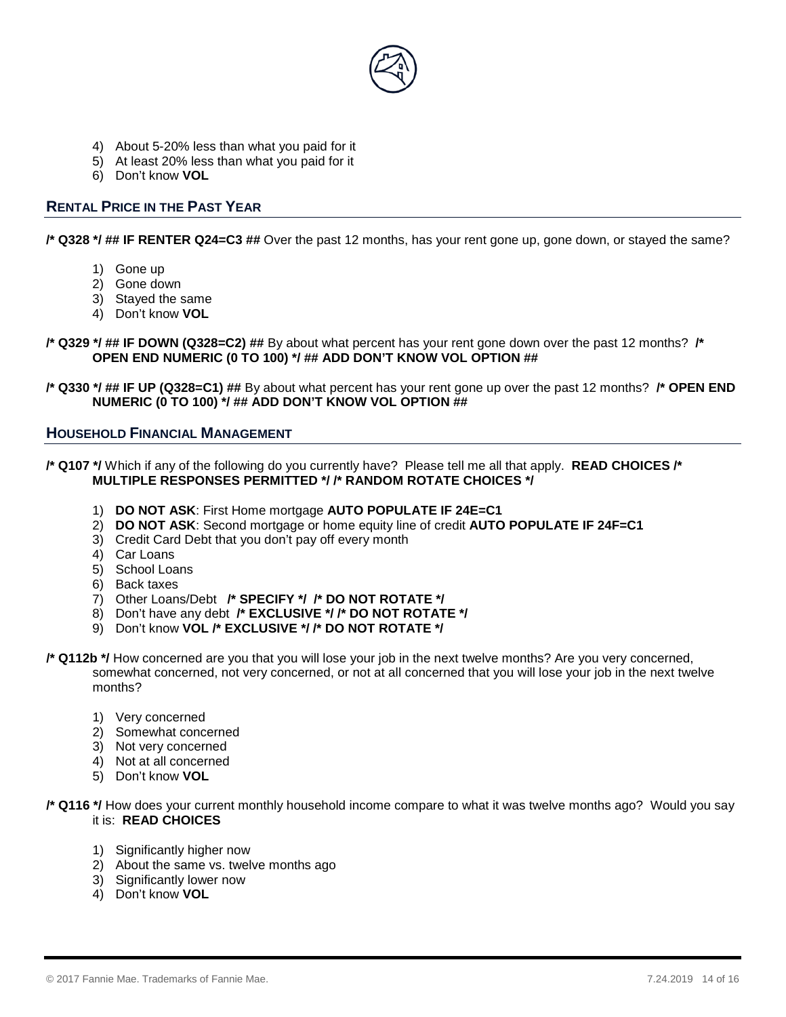

- 4) About 5-20% less than what you paid for it
- 5) At least 20% less than what you paid for it
- 6) Don't know **VOL**

# **RENTAL PRICE IN THE PAST YEAR**

**/\* Q328 \*/ ## IF RENTER Q24=C3 ##** Over the past 12 months, has your rent gone up, gone down, or stayed the same?

- 1) Gone up
- 2) Gone down
- 3) Stayed the same
- 4) Don't know **VOL**

**/\* Q329 \*/ ## IF DOWN (Q328=C2) ##** By about what percent has your rent gone down over the past 12 months? **/\* OPEN END NUMERIC (0 TO 100) \*/ ## ADD DON'T KNOW VOL OPTION ##**

**/\* Q330 \*/ ## IF UP (Q328=C1) ##** By about what percent has your rent gone up over the past 12 months? **/\* OPEN END NUMERIC (0 TO 100) \*/ ## ADD DON'T KNOW VOL OPTION ##**

## **HOUSEHOLD FINANCIAL MANAGEMENT**

**/\* Q107 \*/** Which if any of the following do you currently have? Please tell me all that apply. **READ CHOICES /\* MULTIPLE RESPONSES PERMITTED \*/ /\* RANDOM ROTATE CHOICES \*/** 

- 1) **DO NOT ASK**: First Home mortgage **AUTO POPULATE IF 24E=C1**
- 2) **DO NOT ASK**: Second mortgage or home equity line of credit **AUTO POPULATE IF 24F=C1**
- 3) Credit Card Debt that you don't pay off every month
- 4) Car Loans
- 5) School Loans
- 6) Back taxes
- 7) Other Loans/Debt **/\* SPECIFY \*/ /\* DO NOT ROTATE \*/**
- 8) Don't have any debt **/\* EXCLUSIVE \*/ /\* DO NOT ROTATE \*/**
- 9) Don't know **VOL /\* EXCLUSIVE \*/ /\* DO NOT ROTATE \*/**
- **/\* Q112b \*/** How concerned are you that you will lose your job in the next twelve months? Are you very concerned, somewhat concerned, not very concerned, or not at all concerned that you will lose your job in the next twelve months?
	- 1) Very concerned
	- 2) Somewhat concerned
	- 3) Not very concerned
	- 4) Not at all concerned
	- 5) Don't know **VOL**

**/\* Q116 \*/** How does your current monthly household income compare to what it was twelve months ago? Would you say it is: **READ CHOICES**

- 1) Significantly higher now
- 2) About the same vs. twelve months ago
- 3) Significantly lower now
- 4) Don't know **VOL**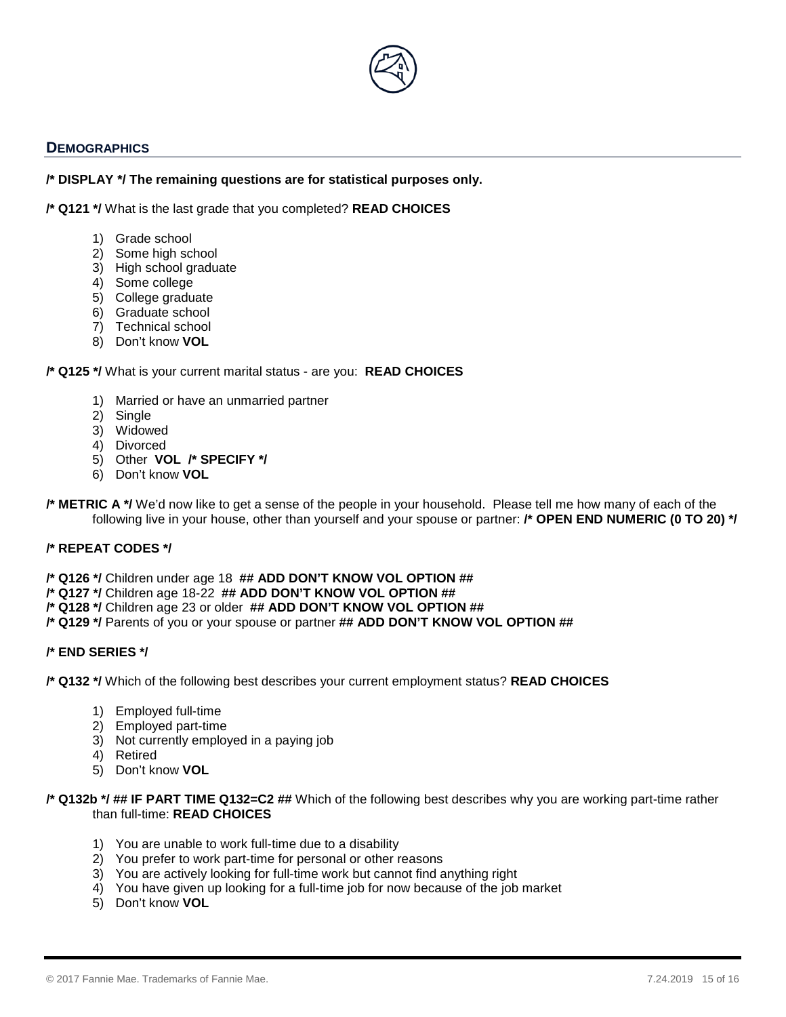

# **DEMOGRAPHICS**

## **/\* DISPLAY \*/ The remaining questions are for statistical purposes only.**

**/\* Q121 \*/** What is the last grade that you completed? **READ CHOICES**

- 1) Grade school
- 2) Some high school
- 3) High school graduate
- 4) Some college
- 5) College graduate
- 6) Graduate school
- 7) Technical school
- 8) Don't know **VOL**

## **/\* Q125 \*/** What is your current marital status - are you: **READ CHOICES**

- 1) Married or have an unmarried partner
- 2) Single
- 3) Widowed
- 4) Divorced
- 5) Other **VOL /\* SPECIFY \*/**
- 6) Don't know **VOL**

**/\* METRIC A \*/** We'd now like to get a sense of the people in your household. Please tell me how many of each of the following live in your house, other than yourself and your spouse or partner: **/\* OPEN END NUMERIC (0 TO 20) \*/** 

## **/\* REPEAT CODES \*/**

**/\* Q126 \*/** Children under age 18 **## ADD DON'T KNOW VOL OPTION ##**

**/\* Q127 \*/** Children age 18-22 **## ADD DON'T KNOW VOL OPTION ##**

- **/\* Q128 \*/** Children age 23 or older **## ADD DON'T KNOW VOL OPTION ##**
- **/\* Q129 \*/** Parents of you or your spouse or partner **## ADD DON'T KNOW VOL OPTION ##**

## **/\* END SERIES \*/**

**/\* Q132 \*/** Which of the following best describes your current employment status? **READ CHOICES**

- 1) Employed full-time
- 2) Employed part-time
- 3) Not currently employed in a paying job
- 4) Retired
- 5) Don't know **VOL**

#### **/\* Q132b \*/ ## IF PART TIME Q132=C2 ##** Which of the following best describes why you are working part-time rather than full-time: **READ CHOICES**

- 1) You are unable to work full-time due to a disability
- 2) You prefer to work part-time for personal or other reasons
- 3) You are actively looking for full-time work but cannot find anything right
- 4) You have given up looking for a full-time job for now because of the job market
- 5) Don't know **VOL**